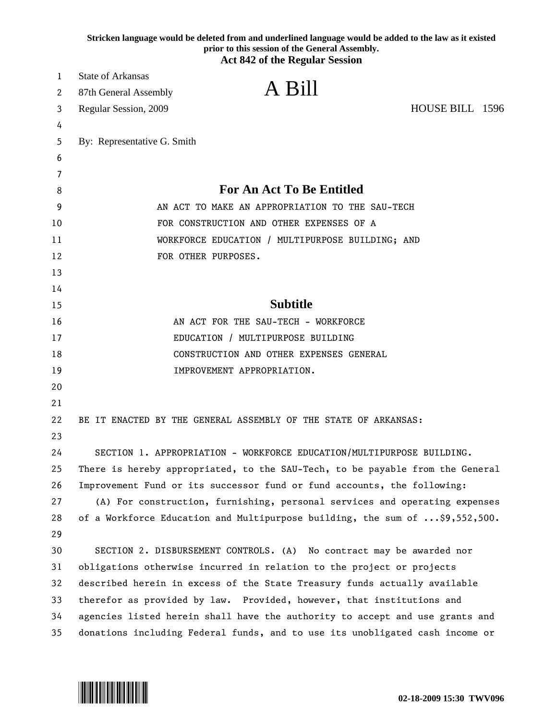|    | Stricken language would be deleted from and underlined language would be added to the law as it existed<br>prior to this session of the General Assembly.<br><b>Act 842 of the Regular Session</b> |  |
|----|----------------------------------------------------------------------------------------------------------------------------------------------------------------------------------------------------|--|
| 1  | <b>State of Arkansas</b>                                                                                                                                                                           |  |
| 2  | A Bill<br>87th General Assembly                                                                                                                                                                    |  |
| 3  | HOUSE BILL 1596<br>Regular Session, 2009                                                                                                                                                           |  |
| 4  |                                                                                                                                                                                                    |  |
| 5  | By: Representative G. Smith                                                                                                                                                                        |  |
| 6  |                                                                                                                                                                                                    |  |
| 7  |                                                                                                                                                                                                    |  |
| 8  | <b>For An Act To Be Entitled</b>                                                                                                                                                                   |  |
| 9  | AN ACT TO MAKE AN APPROPRIATION TO THE SAU-TECH                                                                                                                                                    |  |
| 10 | FOR CONSTRUCTION AND OTHER EXPENSES OF A                                                                                                                                                           |  |
| 11 | WORKFORCE EDUCATION / MULTIPURPOSE BUILDING; AND                                                                                                                                                   |  |
| 12 | FOR OTHER PURPOSES.                                                                                                                                                                                |  |
| 13 |                                                                                                                                                                                                    |  |
| 14 |                                                                                                                                                                                                    |  |
| 15 | <b>Subtitle</b>                                                                                                                                                                                    |  |
| 16 | AN ACT FOR THE SAU-TECH - WORKFORCE                                                                                                                                                                |  |
| 17 | EDUCATION / MULTIPURPOSE BUILDING                                                                                                                                                                  |  |
| 18 | CONSTRUCTION AND OTHER EXPENSES GENERAL                                                                                                                                                            |  |
| 19 | IMPROVEMENT APPROPRIATION.                                                                                                                                                                         |  |
| 20 |                                                                                                                                                                                                    |  |
| 21 |                                                                                                                                                                                                    |  |
| 22 | BE IT ENACTED BY THE GENERAL ASSEMBLY OF THE STATE OF ARKANSAS:                                                                                                                                    |  |
| 23 |                                                                                                                                                                                                    |  |
| 24 | SECTION 1. APPROPRIATION - WORKFORCE EDUCATION/MULTIPURPOSE BUILDING.                                                                                                                              |  |
| 25 | There is hereby appropriated, to the SAU-Tech, to be payable from the General                                                                                                                      |  |
| 26 | Improvement Fund or its successor fund or fund accounts, the following:                                                                                                                            |  |
| 27 | (A) For construction, furnishing, personal services and operating expenses                                                                                                                         |  |
| 28 | of a Workforce Education and Multipurpose building, the sum of \$9,552,500.                                                                                                                        |  |
| 29 |                                                                                                                                                                                                    |  |
| 30 | SECTION 2. DISBURSEMENT CONTROLS. (A) No contract may be awarded nor                                                                                                                               |  |
| 31 | obligations otherwise incurred in relation to the project or projects                                                                                                                              |  |
| 32 | described herein in excess of the State Treasury funds actually available                                                                                                                          |  |
| 33 | therefor as provided by law. Provided, however, that institutions and                                                                                                                              |  |
| 34 | agencies listed herein shall have the authority to accept and use grants and                                                                                                                       |  |
| 35 | donations including Federal funds, and to use its unobligated cash income or                                                                                                                       |  |